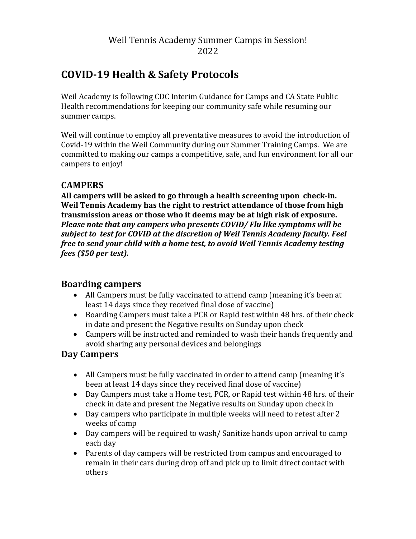# Weil Tennis Academy Summer Camps in Session! 2022

# **COVID-19 Health & Safety Protocols**

Weil Academy is following CDC Interim Guidance for Camps and CA State Public Health recommendations for keeping our community safe while resuming our summer camps.

Weil will continue to employ all preventative measures to avoid the introduction of Covid-19 within the Weil Community during our Summer Training Camps. We are committed to making our camps a competitive, safe, and fun environment for all our campers to enjoy!

### **CAMPERS**

**All campers will be asked to go through a health screening upon check-in. Weil Tennis Academy has the right to restrict attendance of those from high transmission areas or those who it deems may be at high risk of exposure.** *Please note that any campers who presents COVID/ Flu like symptoms will be subject to test for COVID at the discretion of Weil Tennis Academy faculty. Feel free to send your child with a home test, to avoid Weil Tennis Academy testing fees (\$50 per test).* 

### **Boarding campers**

- All Campers must be fully vaccinated to attend camp (meaning it's been at least 14 days since they received final dose of vaccine)
- Boarding Campers must take a PCR or Rapid test within 48 hrs. of their check in date and present the Negative results on Sunday upon check
- Campers will be instructed and reminded to wash their hands frequently and avoid sharing any personal devices and belongings

### **Day Campers**

- All Campers must be fully vaccinated in order to attend camp (meaning it's been at least 14 days since they received final dose of vaccine)
- Day Campers must take a Home test, PCR, or Rapid test within 48 hrs. of their check in date and present the Negative results on Sunday upon check in
- Day campers who participate in multiple weeks will need to retest after 2 weeks of camp
- Day campers will be required to wash/ Sanitize hands upon arrival to camp each day
- Parents of day campers will be restricted from campus and encouraged to remain in their cars during drop off and pick up to limit direct contact with others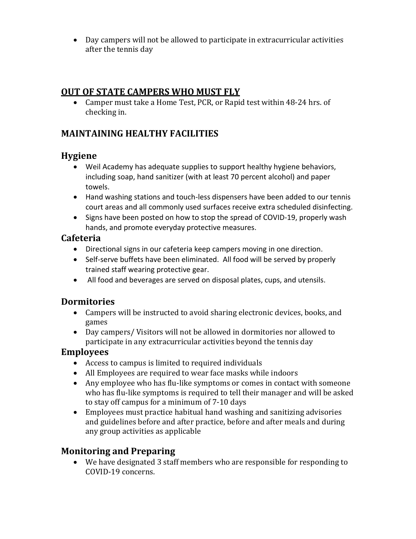• Day campers will not be allowed to participate in extracurricular activities after the tennis day

# **OUT OF STATE CAMPERS WHO MUST FLY**

• Camper must take a Home Test, PCR, or Rapid test within 48-24 hrs. of checking in.

# **MAINTAINING HEALTHY FACILITIES**

### **Hygiene**

- Weil Academy has adequate supplies to support healthy hygiene behaviors, including soap, hand sanitizer (with at least 70 percent alcohol) and paper towels.
- Hand washing stations and touch-less dispensers have been added to our tennis court areas and all commonly used surfaces receive extra scheduled disinfecting.
- Signs have been posted on how to stop the spread of COVID-19, properly wash hands, and promote everyday protective measures.

### **Cafeteria**

- Directional signs in our cafeteria keep campers moving in one direction.
- Self-serve buffets have been eliminated. All food will be served by properly trained staff wearing protective gear.
- All food and beverages are served on disposal plates, cups, and utensils.

# **Dormitories**

- Campers will be instructed to avoid sharing electronic devices, books, and games
- Day campers/ Visitors will not be allowed in dormitories nor allowed to participate in any extracurricular activities beyond the tennis day

### **Employees**

- Access to campus is limited to required individuals
- All Employees are required to wear face masks while indoors
- Any employee who has flu-like symptoms or comes in contact with someone who has flu-like symptoms is required to tell their manager and will be asked to stay off campus for a minimum of 7-10 days
- Employees must practice habitual hand washing and sanitizing advisories and guidelines before and after practice, before and after meals and during any group activities as applicable

# **Monitoring and Preparing**

• We have designated 3 staff members who are responsible for responding to COVID-19 concerns.